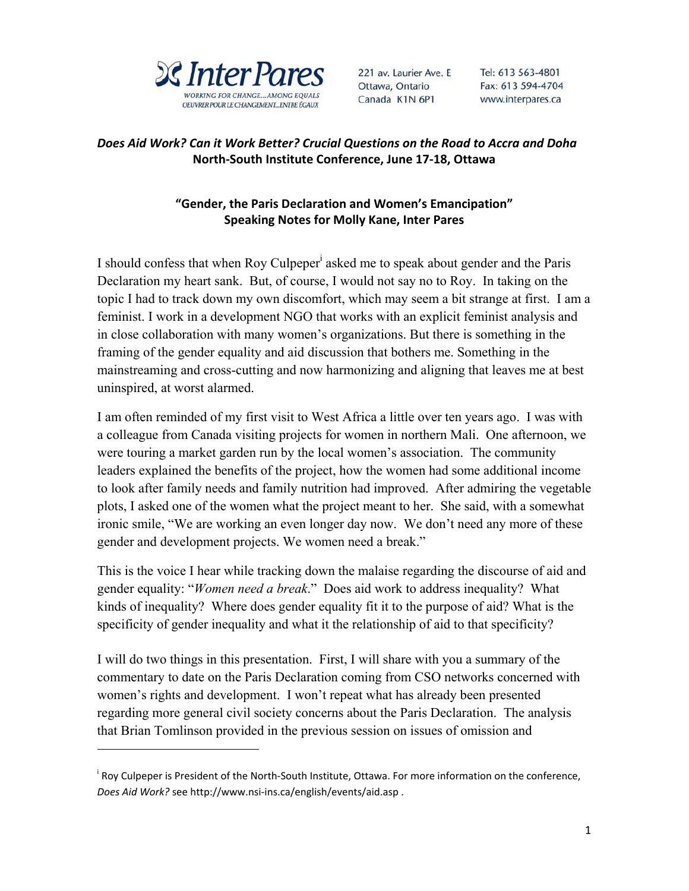

221 av. Laurier Ave. E Ottawa, Ontario Canada K1N 6P1

Tel: 613 563-4801 Fax: 613 594-4704 www.interpares.ca

## *Does Aid Work? Can it Work Better? Crucial Questions on the Road to Accra and Doha*  **North‐South Institute Conference, June 17‐18, Ottawa**

## **"Gender, the Paris Declaration and Women's Emancipation" Speaking Notes for Molly Kane, Inter Pares**

I should confess that when Roy Culpeper<sup>i</sup> asked me to speak about gender and the Paris Declaration my heart sank. But, of course, I would not say no to Roy. In taking on the topic I had to track down my own discomfort, which may seem a bit strange at first. I am a feminist. I work in a development NGO that works with an explicit feminist analysis and in close collaboration with many women's organizations. But there is something in the framing of the gender equality and aid discussion that bothers me. Something in the mainstreaming and cross-cutting and now harmonizing and aligning that leaves me at best uninspired, at worst alarmed.

I am often reminded of my first visit to West Africa a little over ten years ago. I was with a colleague from Canada visiting projects for women in northern Mali. One afternoon, we were touring a market garden run by the local women's association. The community leaders explained the benefits of the project, how the women had some additional income to look after family needs and family nutrition had improved. After admiring the vegetable plots, I asked one of the women what the project meant to her. She said, with a somewhat ironic smile, "We are working an even longer day now. We don't need any more of these gender and development projects. We women need a break."

This is the voice I hear while tracking down the malaise regarding the discourse of aid and gender equality: "*Women need a break*." Does aid work to address inequality? What kinds of inequality? Where does gender equality fit it to the purpose of aid? What is the specificity of gender inequality and what it the relationship of aid to that specificity?

I will do two things in this presentation. First, I will share with you a summary of the commentary to date on the Paris Declaration coming from CSO networks concerned with women's rights and development. I won't repeat what has already been presented regarding more general civil society concerns about the Paris Declaration. The analysis that Brian Tomlinson provided in the previous session on issues of omission and

 $\ddot{\phantom{a}}$ 

<sup>&</sup>lt;sup>i</sup> Roy Culpeper is President of the North-South Institute, Ottawa. For more information on the conference, *Does Aid Work?* see http://www.nsi‐ins.ca/english/events/aid.asp .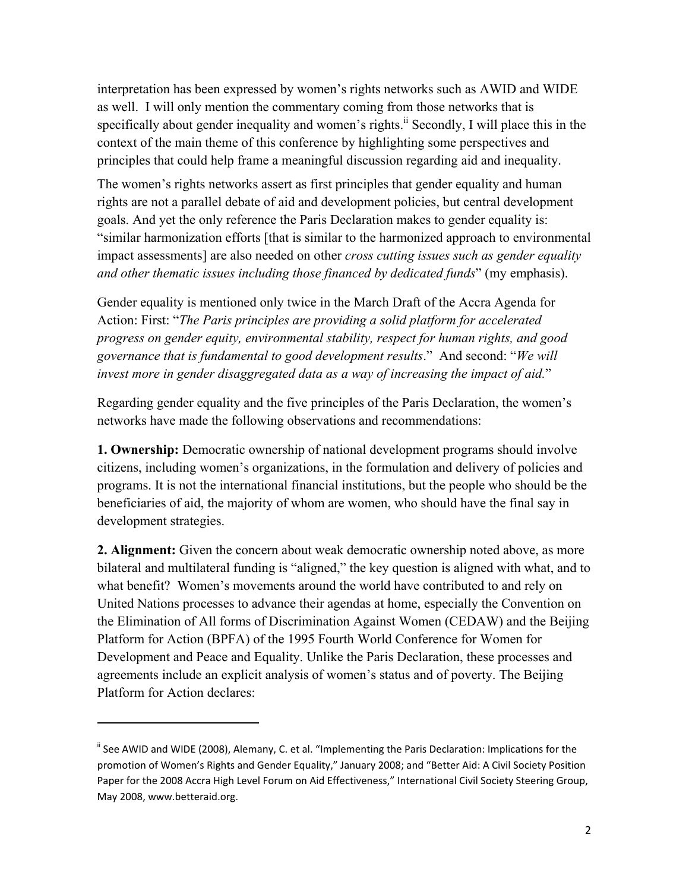interpretation has been expressed by women's rights networks such as AWID and WIDE as well. I will only mention the commentary coming from those networks that is specifically about gender inequality and women's rights.<sup>ii</sup> Secondly, I will place this in the context of the main theme of this conference by highlighting some perspectives and principles that could help frame a meaningful discussion regarding aid and inequality.

The women's rights networks assert as first principles that gender equality and human rights are not a parallel debate of aid and development policies, but central development goals. And yet the only reference the Paris Declaration makes to gender equality is: "similar harmonization efforts [that is similar to the harmonized approach to environmental impact assessments] are also needed on other *cross cutting issues such as gender equality and other thematic issues including those financed by dedicated funds*" (my emphasis).

Gender equality is mentioned only twice in the March Draft of the Accra Agenda for Action: First: "*The Paris principles are providing a solid platform for accelerated progress on gender equity, environmental stability, respect for human rights, and good governance that is fundamental to good development results*." And second: "*We will invest more in gender disaggregated data as a way of increasing the impact of aid.*"

Regarding gender equality and the five principles of the Paris Declaration, the women's networks have made the following observations and recommendations:

**1. Ownership:** Democratic ownership of national development programs should involve citizens, including women's organizations, in the formulation and delivery of policies and programs. It is not the international financial institutions, but the people who should be the beneficiaries of aid, the majority of whom are women, who should have the final say in development strategies.

**2. Alignment:** Given the concern about weak democratic ownership noted above, as more bilateral and multilateral funding is "aligned," the key question is aligned with what, and to what benefit? Women's movements around the world have contributed to and rely on United Nations processes to advance their agendas at home, especially the Convention on the Elimination of All forms of Discrimination Against Women (CEDAW) and the Beijing Platform for Action (BPFA) of the 1995 Fourth World Conference for Women for Development and Peace and Equality. Unlike the Paris Declaration, these processes and agreements include an explicit analysis of women's status and of poverty. The Beijing Platform for Action declares:

 $\overline{a}$ 

<sup>&</sup>lt;sup>ii</sup> See AWID and WIDE (2008), Alemany, C. et al. "Implementing the Paris Declaration: Implications for the promotion of Women's Rights and Gender Equality," January 2008; and "Better Aid: A Civil Society Position Paper for the 2008 Accra High Level Forum on Aid Effectiveness," International Civil Society Steering Group, May 2008, www.betteraid.org.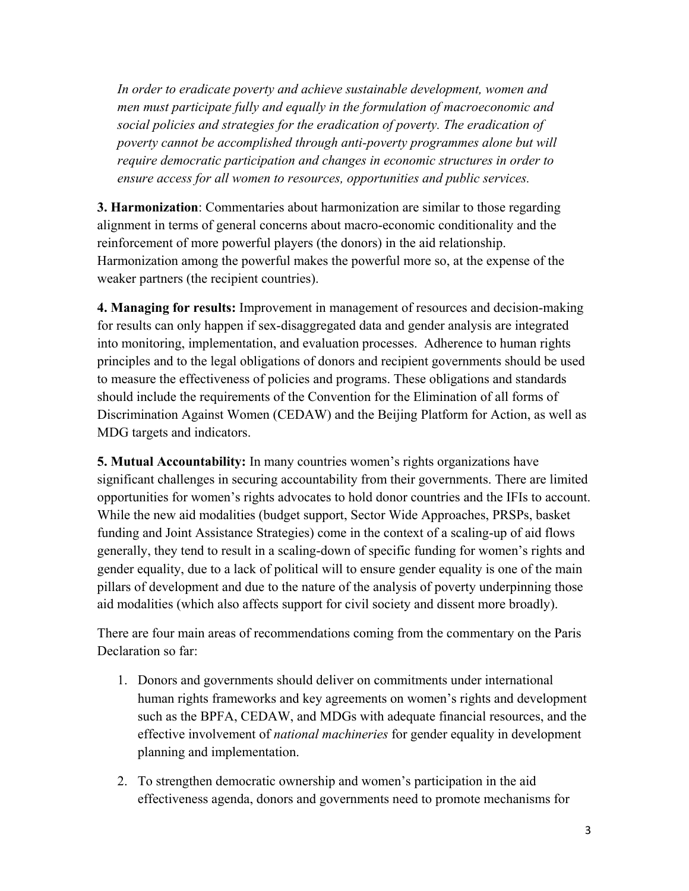*In order to eradicate poverty and achieve sustainable development, women and men must participate fully and equally in the formulation of macroeconomic and social policies and strategies for the eradication of poverty. The eradication of poverty cannot be accomplished through anti-poverty programmes alone but will require democratic participation and changes in economic structures in order to ensure access for all women to resources, opportunities and public services.* 

**3. Harmonization**: Commentaries about harmonization are similar to those regarding alignment in terms of general concerns about macro-economic conditionality and the reinforcement of more powerful players (the donors) in the aid relationship. Harmonization among the powerful makes the powerful more so, at the expense of the weaker partners (the recipient countries).

**4. Managing for results:** Improvement in management of resources and decision-making for results can only happen if sex-disaggregated data and gender analysis are integrated into monitoring, implementation, and evaluation processes. Adherence to human rights principles and to the legal obligations of donors and recipient governments should be used to measure the effectiveness of policies and programs. These obligations and standards should include the requirements of the Convention for the Elimination of all forms of Discrimination Against Women (CEDAW) and the Beijing Platform for Action, as well as MDG targets and indicators.

**5. Mutual Accountability:** In many countries women's rights organizations have significant challenges in securing accountability from their governments. There are limited opportunities for women's rights advocates to hold donor countries and the IFIs to account. While the new aid modalities (budget support, Sector Wide Approaches, PRSPs, basket funding and Joint Assistance Strategies) come in the context of a scaling-up of aid flows generally, they tend to result in a scaling-down of specific funding for women's rights and gender equality, due to a lack of political will to ensure gender equality is one of the main pillars of development and due to the nature of the analysis of poverty underpinning those aid modalities (which also affects support for civil society and dissent more broadly).

There are four main areas of recommendations coming from the commentary on the Paris Declaration so far:

- 1. Donors and governments should deliver on commitments under international human rights frameworks and key agreements on women's rights and development such as the BPFA, CEDAW, and MDGs with adequate financial resources, and the effective involvement of *national machineries* for gender equality in development planning and implementation.
- 2. To strengthen democratic ownership and women's participation in the aid effectiveness agenda, donors and governments need to promote mechanisms for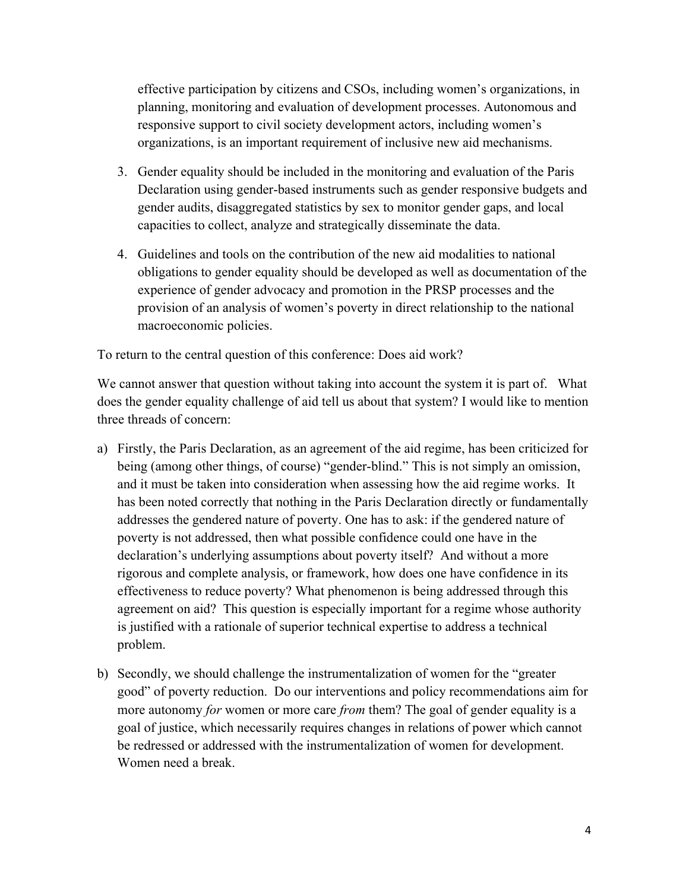effective participation by citizens and CSOs, including women's organizations, in planning, monitoring and evaluation of development processes. Autonomous and responsive support to civil society development actors, including women's organizations, is an important requirement of inclusive new aid mechanisms.

- 3. Gender equality should be included in the monitoring and evaluation of the Paris Declaration using gender-based instruments such as gender responsive budgets and gender audits, disaggregated statistics by sex to monitor gender gaps, and local capacities to collect, analyze and strategically disseminate the data.
- 4. Guidelines and tools on the contribution of the new aid modalities to national obligations to gender equality should be developed as well as documentation of the experience of gender advocacy and promotion in the PRSP processes and the provision of an analysis of women's poverty in direct relationship to the national macroeconomic policies.

To return to the central question of this conference: Does aid work?

We cannot answer that question without taking into account the system it is part of. What does the gender equality challenge of aid tell us about that system? I would like to mention three threads of concern:

- a) Firstly, the Paris Declaration, as an agreement of the aid regime, has been criticized for being (among other things, of course) "gender-blind." This is not simply an omission, and it must be taken into consideration when assessing how the aid regime works. It has been noted correctly that nothing in the Paris Declaration directly or fundamentally addresses the gendered nature of poverty. One has to ask: if the gendered nature of poverty is not addressed, then what possible confidence could one have in the declaration's underlying assumptions about poverty itself? And without a more rigorous and complete analysis, or framework, how does one have confidence in its effectiveness to reduce poverty? What phenomenon is being addressed through this agreement on aid? This question is especially important for a regime whose authority is justified with a rationale of superior technical expertise to address a technical problem.
- b) Secondly, we should challenge the instrumentalization of women for the "greater good" of poverty reduction. Do our interventions and policy recommendations aim for more autonomy *for* women or more care *from* them? The goal of gender equality is a goal of justice, which necessarily requires changes in relations of power which cannot be redressed or addressed with the instrumentalization of women for development. Women need a break.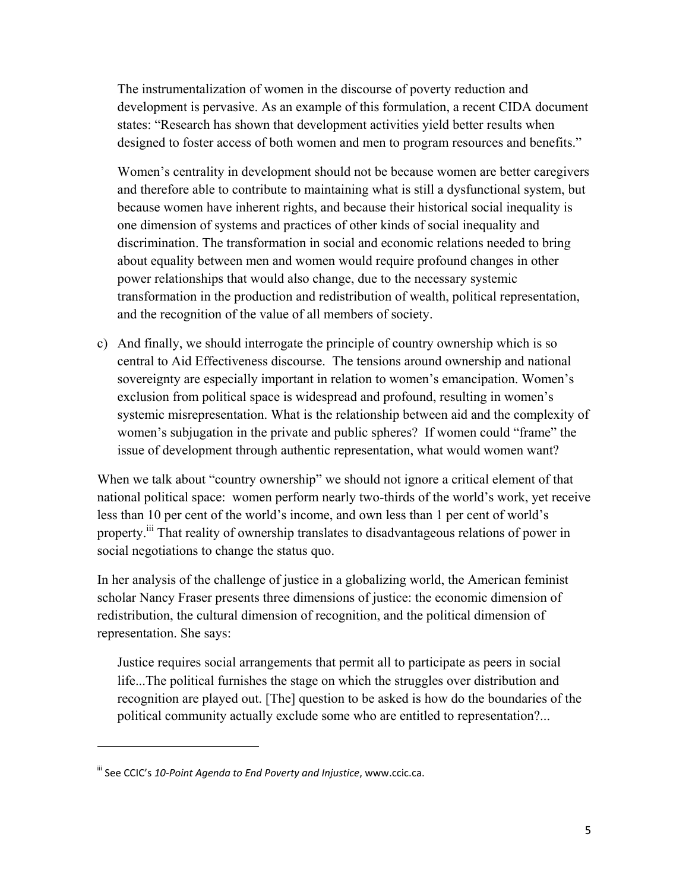The instrumentalization of women in the discourse of poverty reduction and development is pervasive. As an example of this formulation, a recent CIDA document states: "Research has shown that development activities yield better results when designed to foster access of both women and men to program resources and benefits."

Women's centrality in development should not be because women are better caregivers and therefore able to contribute to maintaining what is still a dysfunctional system, but because women have inherent rights, and because their historical social inequality is one dimension of systems and practices of other kinds of social inequality and discrimination. The transformation in social and economic relations needed to bring about equality between men and women would require profound changes in other power relationships that would also change, due to the necessary systemic transformation in the production and redistribution of wealth, political representation, and the recognition of the value of all members of society.

c) And finally, we should interrogate the principle of country ownership which is so central to Aid Effectiveness discourse. The tensions around ownership and national sovereignty are especially important in relation to women's emancipation. Women's exclusion from political space is widespread and profound, resulting in women's systemic misrepresentation. What is the relationship between aid and the complexity of women's subjugation in the private and public spheres? If women could "frame" the issue of development through authentic representation, what would women want?

When we talk about "country ownership" we should not ignore a critical element of that national political space: women perform nearly two-thirds of the world's work, yet receive less than 10 per cent of the world's income, and own less than 1 per cent of world's property.<sup>iii</sup> That reality of ownership translates to disadvantageous relations of power in social negotiations to change the status quo.

In her analysis of the challenge of justice in a globalizing world, the American feminist scholar Nancy Fraser presents three dimensions of justice: the economic dimension of redistribution, the cultural dimension of recognition, and the political dimension of representation. She says:

Justice requires social arrangements that permit all to participate as peers in social life...The political furnishes the stage on which the struggles over distribution and recognition are played out. [The] question to be asked is how do the boundaries of the political community actually exclude some who are entitled to representation?...

 $\overline{a}$ 

iii See CCIC's *10‐Point Agenda to End Poverty and Injustice*, www.ccic.ca.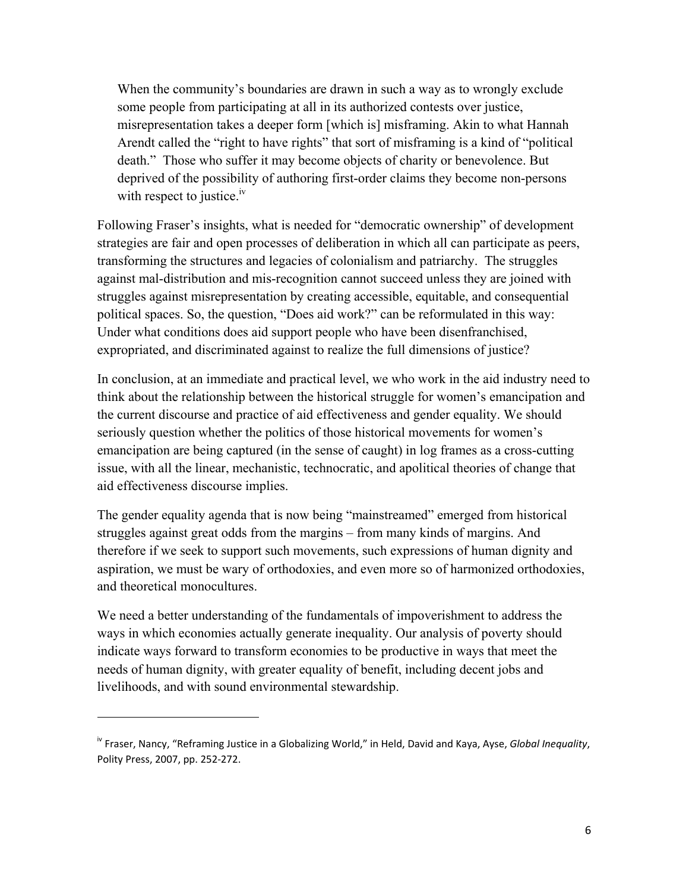When the community's boundaries are drawn in such a way as to wrongly exclude some people from participating at all in its authorized contests over justice, misrepresentation takes a deeper form [which is] misframing. Akin to what Hannah Arendt called the "right to have rights" that sort of misframing is a kind of "political death." Those who suffer it may become objects of charity or benevolence. But deprived of the possibility of authoring first-order claims they become non-persons with respect to justice.<sup>iv</sup>

Following Fraser's insights, what is needed for "democratic ownership" of development strategies are fair and open processes of deliberation in which all can participate as peers, transforming the structures and legacies of colonialism and patriarchy. The struggles against mal-distribution and mis-recognition cannot succeed unless they are joined with struggles against misrepresentation by creating accessible, equitable, and consequential political spaces. So, the question, "Does aid work?" can be reformulated in this way: Under what conditions does aid support people who have been disenfranchised, expropriated, and discriminated against to realize the full dimensions of justice?

In conclusion, at an immediate and practical level, we who work in the aid industry need to think about the relationship between the historical struggle for women's emancipation and the current discourse and practice of aid effectiveness and gender equality. We should seriously question whether the politics of those historical movements for women's emancipation are being captured (in the sense of caught) in log frames as a cross-cutting issue, with all the linear, mechanistic, technocratic, and apolitical theories of change that aid effectiveness discourse implies.

The gender equality agenda that is now being "mainstreamed" emerged from historical struggles against great odds from the margins – from many kinds of margins. And therefore if we seek to support such movements, such expressions of human dignity and aspiration, we must be wary of orthodoxies, and even more so of harmonized orthodoxies, and theoretical monocultures.

We need a better understanding of the fundamentals of impoverishment to address the ways in which economies actually generate inequality. Our analysis of poverty should indicate ways forward to transform economies to be productive in ways that meet the needs of human dignity, with greater equality of benefit, including decent jobs and livelihoods, and with sound environmental stewardship.

 $\overline{a}$ 

iv Fraser, Nancy, "Reframing Justice in a Globalizing World," in Held, David and Kaya, Ayse, *Global Inequality*, Polity Press, 2007, pp. 252‐272.